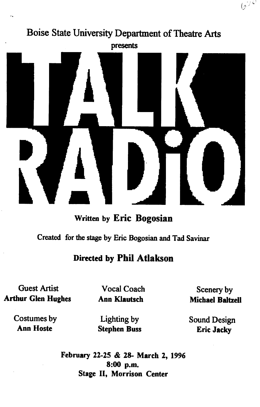

• Written by Eric Bogosian

Created for the stage by Eric Bogosian and Tad Savinar

## Directed by Phil Atlakson

Guest Artist Arthur Glen Hughes

Vocal Coach Ann Klautsch

Scenery by Michael Baltzell

 $\varphi^{\oplus \mathcal{O}}$ 

Costumes by Ann Hoste

Lighting by Stephen Buss Sound Design Eric Jacky

February 22-25 & 28- March 2, 1996 8:00 p.m. Stage II, Morrison Center